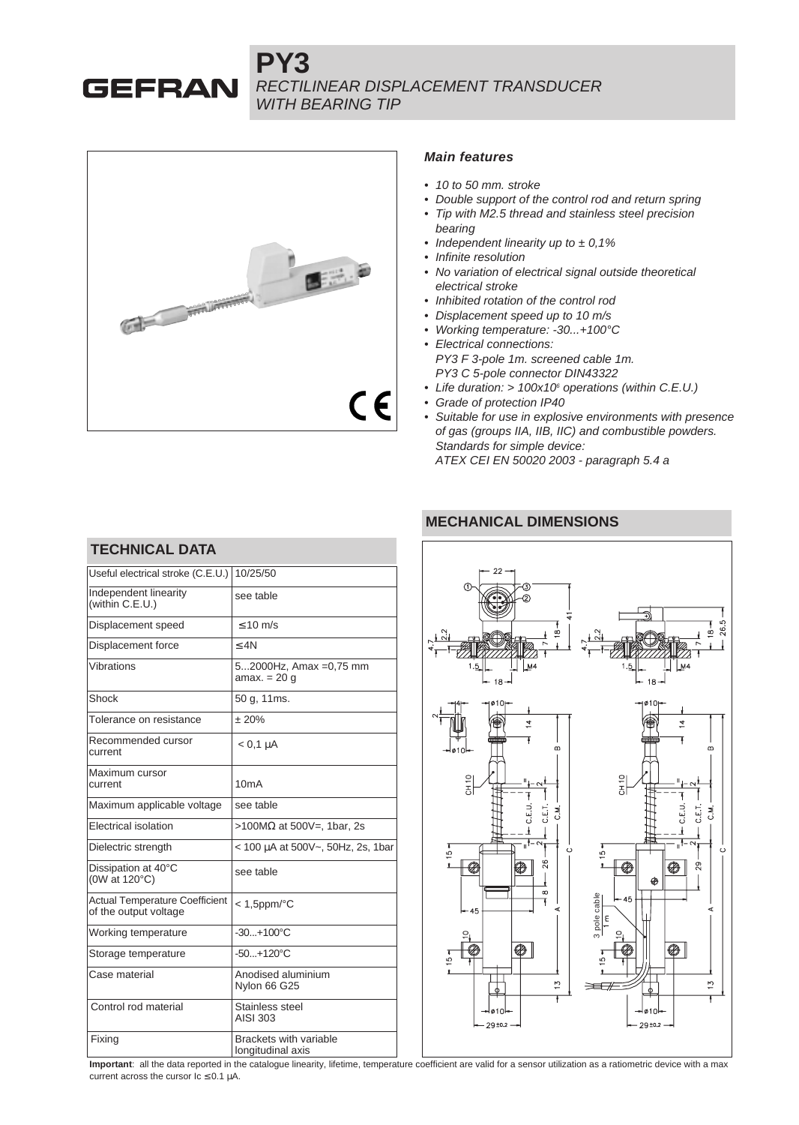**PY3** RECTILINEAR DISPLACEMENT TRANSDUCER WITH BEARING TIP



**GEFRAN** 

#### **Main features**

- 10 to 50 mm, stroke
- Double support of the control rod and return spring
- Tip with M2.5 thread and stainless steel precision bearing
- Independent linearity up to  $\pm$  0,1%
- Infinite resolution
- No variation of electrical signal outside theoretical electrical stroke
- Inhibited rotation of the control rod
- Displacement speed up to 10 m/s
- Working temperature: -30...+100°C
- Electrical connections: PY3 F 3-pole 1m. screened cable 1m. PY3 C 5-pole connector DIN43322
- Life duration: > 100x10<sup>6</sup> operations (within C.E.U.)
- Grade of protection IP40
- Suitable for use in explosive environments with presence of gas (groups IIA, IIB, IIC) and combustible powders. Standards for simple device: ATEX CEI EN 50020 2003 - paragraph 5.4 a

### **MECHANICAL DIMENSIONS**

| <b>TECHNICAL DATA</b>                                          |                                                    |  |  |  |  |  |
|----------------------------------------------------------------|----------------------------------------------------|--|--|--|--|--|
| Useful electrical stroke (C.E.U.)                              | 10/25/50                                           |  |  |  |  |  |
| Independent linearity<br>(within C.E.U.)                       | see table                                          |  |  |  |  |  |
| Displacement speed                                             | $\leq 10$ m/s                                      |  |  |  |  |  |
| Displacement force                                             | $<$ 4N                                             |  |  |  |  |  |
| Vibrations                                                     | 52000Hz, Amax =0,75 mm<br>amax. $= 20$ q           |  |  |  |  |  |
| Shock                                                          | 50 g, 11ms.                                        |  |  |  |  |  |
| Tolerance on resistance                                        | $+20%$                                             |  |  |  |  |  |
| Recommended cursor<br>current                                  | $< 0.1 \mu A$                                      |  |  |  |  |  |
| Maximum cursor<br>current                                      | 10mA                                               |  |  |  |  |  |
| Maximum applicable voltage                                     | see table                                          |  |  |  |  |  |
| <b>Flectrical isolation</b>                                    | >100MΩ at 500V=, 1bar, 2s                          |  |  |  |  |  |
| Dielectric strength                                            | < 100 µA at 500V~, 50Hz, 2s, 1bar                  |  |  |  |  |  |
| Dissipation at 40°C<br>(0W at 120°C)                           | see table                                          |  |  |  |  |  |
| <b>Actual Temperature Coefficient</b><br>of the output voltage | $<$ 1,5ppm/ $\rm ^{\circ}C$                        |  |  |  |  |  |
| Working temperature                                            | $-30+100^{\circ}C$                                 |  |  |  |  |  |
| Storage temperature                                            | $-50+120^{\circ}C$                                 |  |  |  |  |  |
| Case material                                                  | Anodised aluminium<br>Nylon 66 G25                 |  |  |  |  |  |
| Control rod material                                           | Stainless steel<br>AISI 303                        |  |  |  |  |  |
| Fixing                                                         | <b>Brackets with variable</b><br>longitudinal axis |  |  |  |  |  |



**Important**: all the data reported in the catalogue linearity, lifetime, temperature coefficient are valid for a sensor utilization as a ratiometric device with a max current across the cursor  $lc \le 0.1 \mu A$ .